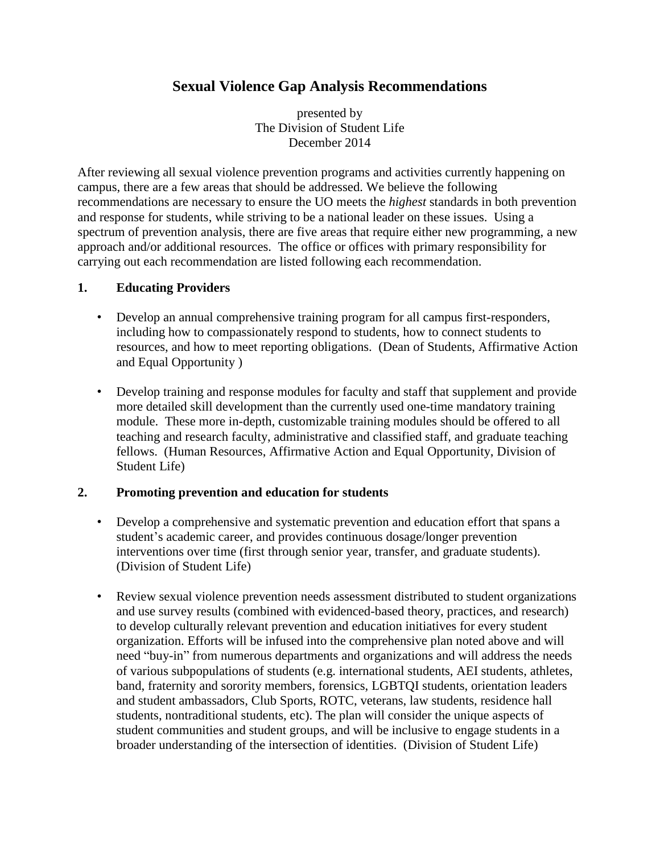presented by The Division of Student Life December 2014

After reviewing all sexual violence prevention programs and activities currently happening on campus, there are a few areas that should be addressed. We believe the following recommendations are necessary to ensure the UO meets the *highest* standards in both prevention and response for students, while striving to be a national leader on these issues. Using a spectrum of prevention analysis, there are five areas that require either new programming, a new approach and/or additional resources. The office or offices with primary responsibility for carrying out each recommendation are listed following each recommendation.

### **1. Educating Providers**

- Develop an annual comprehensive training program for all campus first-responders, including how to compassionately respond to students, how to connect students to resources, and how to meet reporting obligations. (Dean of Students, Affirmative Action and Equal Opportunity )
- Develop training and response modules for faculty and staff that supplement and provide more detailed skill development than the currently used one-time mandatory training module. These more in-depth, customizable training modules should be offered to all teaching and research faculty, administrative and classified staff, and graduate teaching fellows. (Human Resources, Affirmative Action and Equal Opportunity, Division of Student Life)

### **2. Promoting prevention and education for students**

- Develop a comprehensive and systematic prevention and education effort that spans a student's academic career, and provides continuous dosage/longer prevention interventions over time (first through senior year, transfer, and graduate students). (Division of Student Life)
- Review sexual violence prevention needs assessment distributed to student organizations and use survey results (combined with evidenced-based theory, practices, and research) to develop culturally relevant prevention and education initiatives for every student organization. Efforts will be infused into the comprehensive plan noted above and will need "buy-in" from numerous departments and organizations and will address the needs of various subpopulations of students (e.g. international students, AEI students, athletes, band, fraternity and sorority members, forensics, LGBTQI students, orientation leaders and student ambassadors, Club Sports, ROTC, veterans, law students, residence hall students, nontraditional students, etc). The plan will consider the unique aspects of student communities and student groups, and will be inclusive to engage students in a broader understanding of the intersection of identities. (Division of Student Life)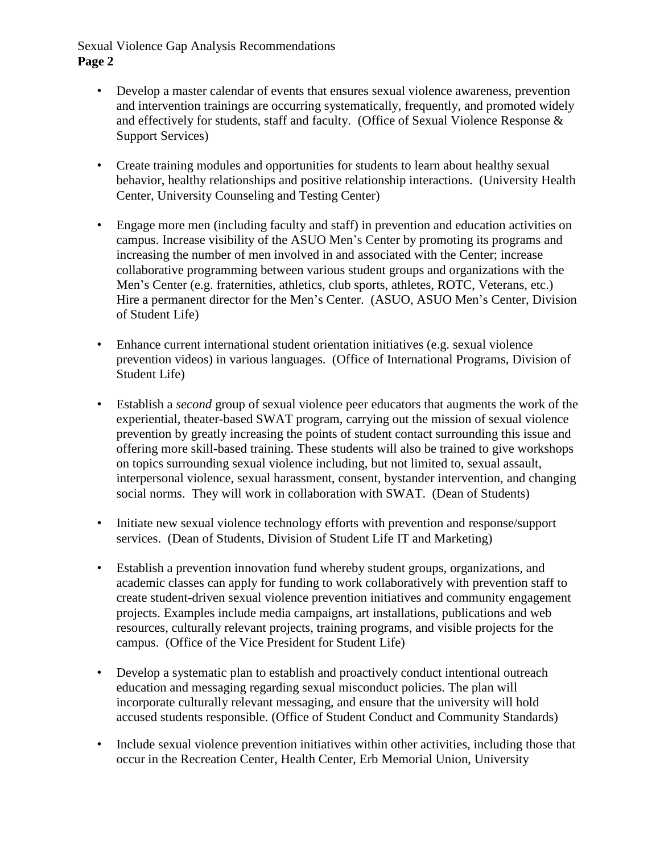- Develop a master calendar of events that ensures sexual violence awareness, prevention and intervention trainings are occurring systematically, frequently, and promoted widely and effectively for students, staff and faculty. (Office of Sexual Violence Response & Support Services)
- Create training modules and opportunities for students to learn about healthy sexual behavior, healthy relationships and positive relationship interactions. (University Health Center, University Counseling and Testing Center)
- Engage more men (including faculty and staff) in prevention and education activities on campus. Increase visibility of the ASUO Men's Center by promoting its programs and increasing the number of men involved in and associated with the Center; increase collaborative programming between various student groups and organizations with the Men's Center (e.g. fraternities, athletics, club sports, athletes, ROTC, Veterans, etc.) Hire a permanent director for the Men's Center. (ASUO, ASUO Men's Center, Division of Student Life)
- Enhance current international student orientation initiatives (e.g. sexual violence prevention videos) in various languages. (Office of International Programs, Division of Student Life)
- Establish a *second* group of sexual violence peer educators that augments the work of the experiential, theater-based SWAT program, carrying out the mission of sexual violence prevention by greatly increasing the points of student contact surrounding this issue and offering more skill-based training. These students will also be trained to give workshops on topics surrounding sexual violence including, but not limited to, sexual assault, interpersonal violence, sexual harassment, consent, bystander intervention, and changing social norms. They will work in collaboration with SWAT. (Dean of Students)
- Initiate new sexual violence technology efforts with prevention and response/support services. (Dean of Students, Division of Student Life IT and Marketing)
- Establish a prevention innovation fund whereby student groups, organizations, and academic classes can apply for funding to work collaboratively with prevention staff to create student-driven sexual violence prevention initiatives and community engagement projects. Examples include media campaigns, art installations, publications and web resources, culturally relevant projects, training programs, and visible projects for the campus. (Office of the Vice President for Student Life)
- Develop a systematic plan to establish and proactively conduct intentional outreach education and messaging regarding sexual misconduct policies. The plan will incorporate culturally relevant messaging, and ensure that the university will hold accused students responsible. (Office of Student Conduct and Community Standards)
- Include sexual violence prevention initiatives within other activities, including those that occur in the Recreation Center, Health Center, Erb Memorial Union, University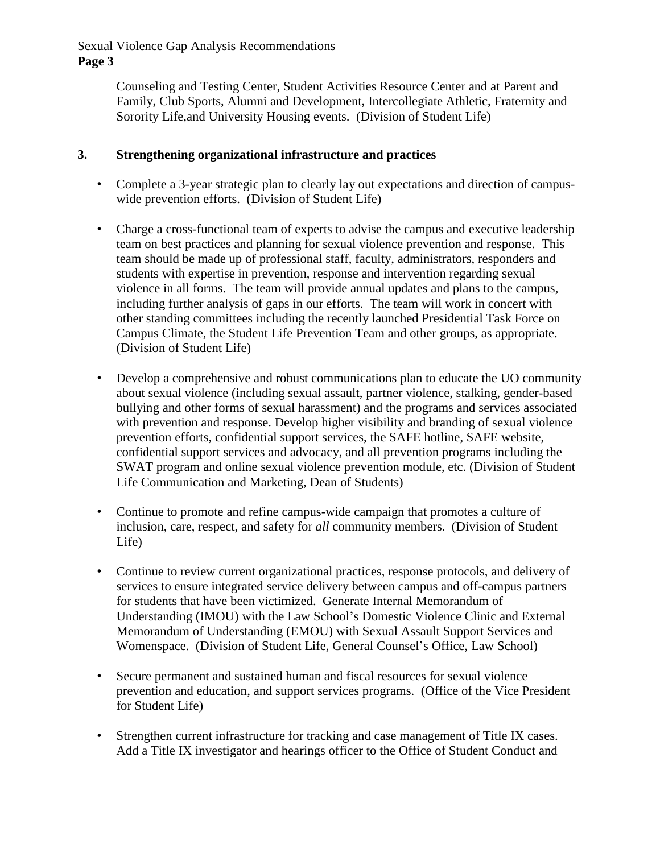> Counseling and Testing Center, Student Activities Resource Center and at Parent and Family, Club Sports, Alumni and Development, Intercollegiate Athletic, Fraternity and Sorority Life,and University Housing events. (Division of Student Life)

### **3. Strengthening organizational infrastructure and practices**

- Complete a 3-year strategic plan to clearly lay out expectations and direction of campuswide prevention efforts. (Division of Student Life)
- Charge a cross-functional team of experts to advise the campus and executive leadership team on best practices and planning for sexual violence prevention and response. This team should be made up of professional staff, faculty, administrators, responders and students with expertise in prevention, response and intervention regarding sexual violence in all forms. The team will provide annual updates and plans to the campus, including further analysis of gaps in our efforts. The team will work in concert with other standing committees including the recently launched Presidential Task Force on Campus Climate, the Student Life Prevention Team and other groups, as appropriate. (Division of Student Life)
- Develop a comprehensive and robust communications plan to educate the UO community about sexual violence (including sexual assault, partner violence, stalking, gender-based bullying and other forms of sexual harassment) and the programs and services associated with prevention and response. Develop higher visibility and branding of sexual violence prevention efforts, confidential support services, the SAFE hotline, SAFE website, confidential support services and advocacy, and all prevention programs including the SWAT program and online sexual violence prevention module, etc. (Division of Student Life Communication and Marketing, Dean of Students)
- Continue to promote and refine campus-wide campaign that promotes a culture of inclusion, care, respect, and safety for *all* community members. (Division of Student Life)
- Continue to review current organizational practices, response protocols, and delivery of services to ensure integrated service delivery between campus and off-campus partners for students that have been victimized. Generate Internal Memorandum of Understanding (IMOU) with the Law School's Domestic Violence Clinic and External Memorandum of Understanding (EMOU) with Sexual Assault Support Services and Womenspace.(Division of Student Life, General Counsel's Office, Law School)
- Secure permanent and sustained human and fiscal resources for sexual violence prevention and education, and support services programs. (Office of the Vice President for Student Life)
- Strengthen current infrastructure for tracking and case management of Title IX cases. Add a Title IX investigator and hearings officer to the Office of Student Conduct and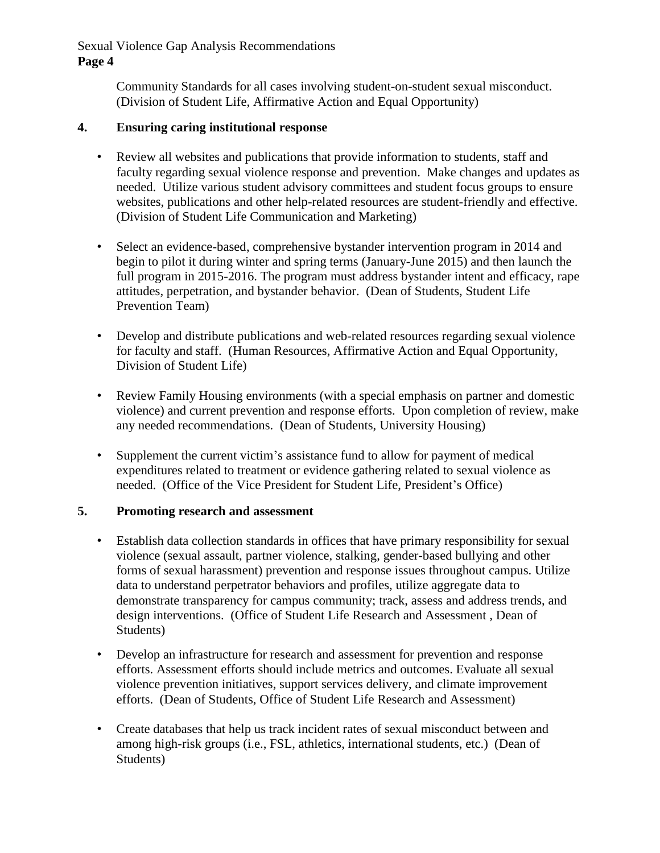> Community Standards for all cases involving student-on-student sexual misconduct. (Division of Student Life, Affirmative Action and Equal Opportunity)

## **4. Ensuring caring institutional response**

- Review all websites and publications that provide information to students, staff and faculty regarding sexual violence response and prevention. Make changes and updates as needed. Utilize various student advisory committees and student focus groups to ensure websites, publications and other help-related resources are student-friendly and effective. (Division of Student Life Communication and Marketing)
- Select an evidence-based, comprehensive bystander intervention program in 2014 and begin to pilot it during winter and spring terms (January-June 2015) and then launch the full program in 2015-2016. The program must address bystander intent and efficacy, rape attitudes, perpetration, and bystander behavior. (Dean of Students, Student Life Prevention Team)
- Develop and distribute publications and web-related resources regarding sexual violence for faculty and staff. (Human Resources, Affirmative Action and Equal Opportunity, Division of Student Life)
- Review Family Housing environments (with a special emphasis on partner and domestic violence) and current prevention and response efforts. Upon completion of review, make any needed recommendations. (Dean of Students, University Housing)
- Supplement the current victim's assistance fund to allow for payment of medical expenditures related to treatment or evidence gathering related to sexual violence as needed. (Office of the Vice President for Student Life, President's Office)

### **5. Promoting research and assessment**

- Establish data collection standards in offices that have primary responsibility for sexual violence (sexual assault, partner violence, stalking, gender-based bullying and other forms of sexual harassment) prevention and response issues throughout campus. Utilize data to understand perpetrator behaviors and profiles, utilize aggregate data to demonstrate transparency for campus community; track, assess and address trends, and design interventions. (Office of Student Life Research and Assessment , Dean of Students)
- Develop an infrastructure for research and assessment for prevention and response efforts. Assessment efforts should include metrics and outcomes. Evaluate all sexual violence prevention initiatives, support services delivery, and climate improvement efforts. (Dean of Students, Office of Student Life Research and Assessment)
- Create databases that help us track incident rates of sexual misconduct between and among high-risk groups (i.e., FSL, athletics, international students, etc.) (Dean of Students)